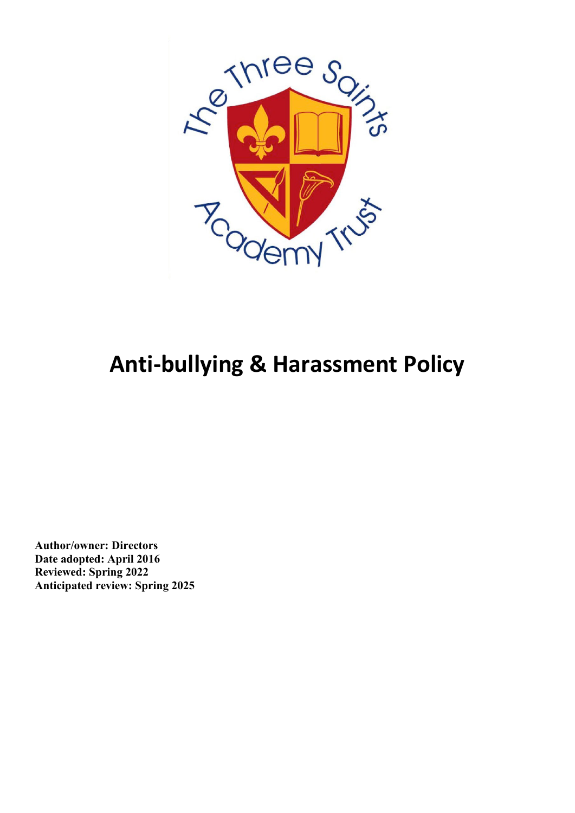

# **Anti-bullying & Harassment Policy**

**Author/owner: Directors Date adopted: April 2016 Reviewed: Spring 2022 Anticipated review: Spring 2025**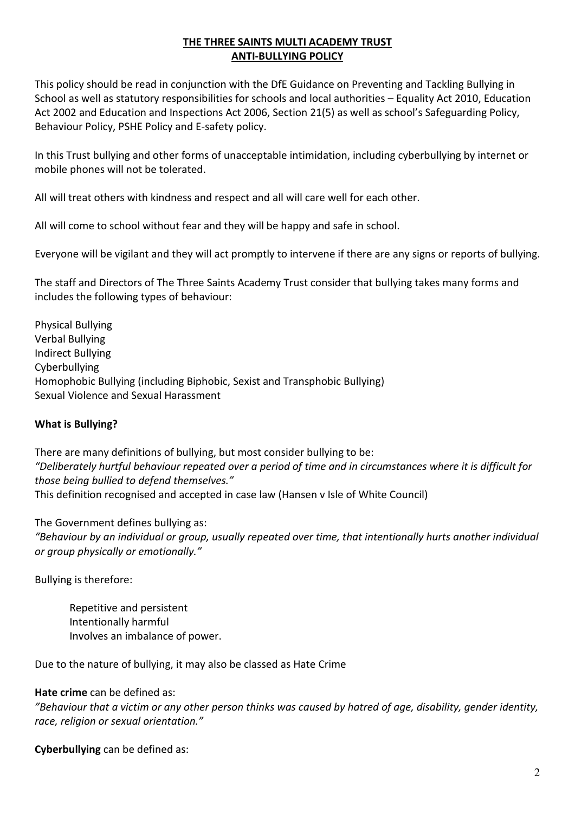# **THE THREE SAINTS MULTI ACADEMY TRUST ANTI-BULLYING POLICY**

This policy should be read in conjunction with the DfE Guidance on Preventing and Tackling Bullying in School as well as statutory responsibilities for schools and local authorities – Equality Act 2010, Education Act 2002 and Education and Inspections Act 2006, Section 21(5) as well as school's Safeguarding Policy, Behaviour Policy, PSHE Policy and E-safety policy.

In this Trust bullying and other forms of unacceptable intimidation, including cyberbullying by internet or mobile phones will not be tolerated.

All will treat others with kindness and respect and all will care well for each other.

All will come to school without fear and they will be happy and safe in school.

Everyone will be vigilant and they will act promptly to intervene if there are any signs or reports of bullying.

The staff and Directors of The Three Saints Academy Trust consider that bullying takes many forms and includes the following types of behaviour:

Physical Bullying Verbal Bullying Indirect Bullying Cyberbullying Homophobic Bullying (including Biphobic, Sexist and Transphobic Bullying) Sexual Violence and Sexual Harassment

#### **What is Bullying?**

There are many definitions of bullying, but most consider bullying to be: *"Deliberately hurtful behaviour repeated over a period of time and in circumstances where it is difficult for those being bullied to defend themselves."* This definition recognised and accepted in case law (Hansen v Isle of White Council)

The Government defines bullying as:

*"Behaviour by an individual or group, usually repeated over time, that intentionally hurts another individual or group physically or emotionally."*

Bullying is therefore:

Repetitive and persistent Intentionally harmful Involves an imbalance of power.

Due to the nature of bullying, it may also be classed as Hate Crime

#### **Hate crime** can be defined as:

*"Behaviour that a victim or any other person thinks was caused by hatred of age, disability, gender identity, race, religion or sexual orientation."*

**Cyberbullying** can be defined as: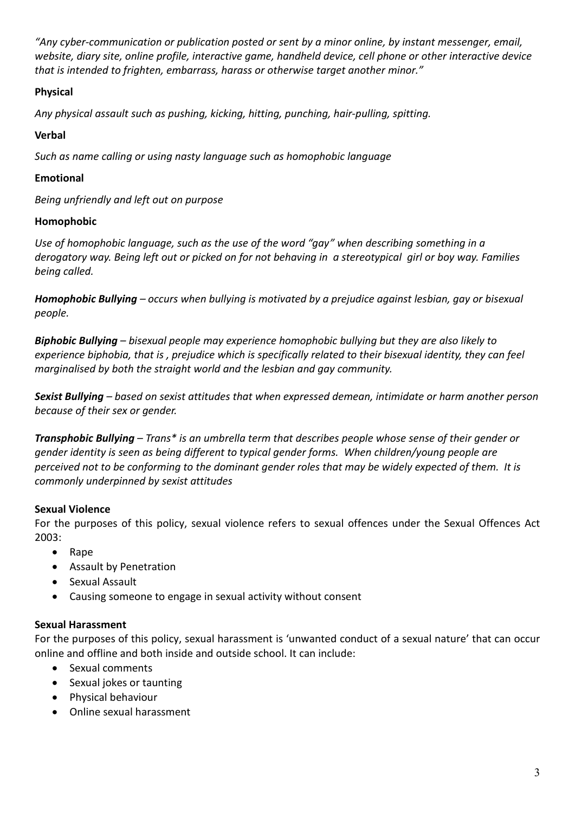*"Any cyber-communication or publication posted or sent by a minor online, by instant messenger, email, website, diary site, online profile, interactive game, handheld device, cell phone or other interactive device that is intended to frighten, embarrass, harass or otherwise target another minor."*

# **Physical**

*Any physical assault such as pushing, kicking, hitting, punching, hair-pulling, spitting.*

# **Verbal**

*Such as name calling or using nasty language such as homophobic language*

## **Emotional**

*Being unfriendly and left out on purpose*

## **Homophobic**

*Use of homophobic language, such as the use of the word "gay" when describing something in a derogatory way. Being left out or picked on for not behaving in a stereotypical girl or boy way. Families being called.*

*Homophobic Bullying – occurs when bullying is motivated by a prejudice against lesbian, gay or bisexual people.*

*Biphobic Bullying – bisexual people may experience homophobic bullying but they are also likely to experience biphobia, that is , prejudice which is specifically related to their bisexual identity, they can feel marginalised by both the straight world and the lesbian and gay community.*

*Sexist Bullying – based on sexist attitudes that when expressed demean, intimidate or harm another person because of their sex or gender.*

*Transphobic Bullying – Trans\* is an umbrella term that describes people whose sense of their gender or gender identity is seen as being different to typical gender forms. When children/young people are perceived not to be conforming to the dominant gender roles that may be widely expected of them. It is commonly underpinned by sexist attitudes*

#### **Sexual Violence**

For the purposes of this policy, sexual violence refers to sexual offences under the Sexual Offences Act 2003:

- Rape
- Assault by Penetration
- Sexual Assault
- Causing someone to engage in sexual activity without consent

#### **Sexual Harassment**

For the purposes of this policy, sexual harassment is 'unwanted conduct of a sexual nature' that can occur online and offline and both inside and outside school. It can include:

- Sexual comments
- Sexual jokes or taunting
- Physical behaviour
- Online sexual harassment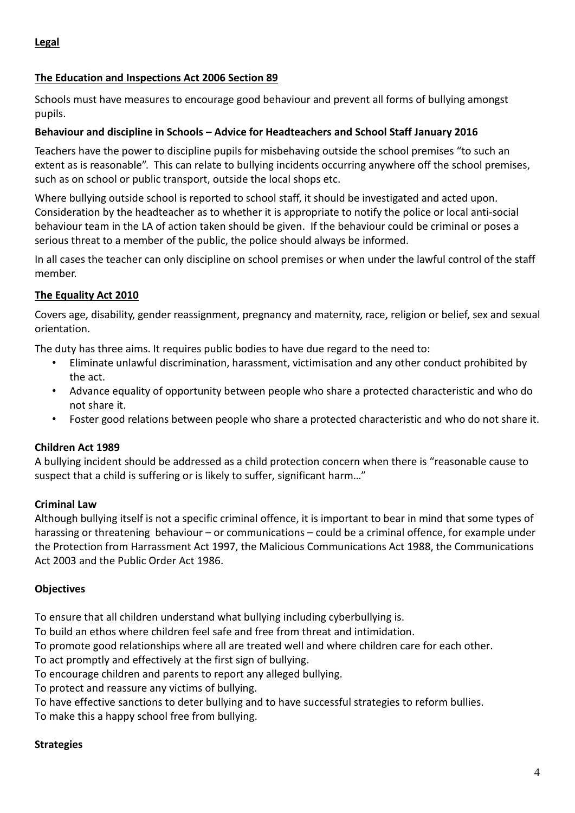#### **The Education and Inspections Act 2006 Section 89**

Schools must have measures to encourage good behaviour and prevent all forms of bullying amongst pupils.

#### **Behaviour and discipline in Schools – Advice for Headteachers and School Staff January 2016**

Teachers have the power to discipline pupils for misbehaving outside the school premises "to such an extent as is reasonable". This can relate to bullying incidents occurring anywhere off the school premises, such as on school or public transport, outside the local shops etc.

Where bullying outside school is reported to school staff, it should be investigated and acted upon. Consideration by the headteacher as to whether it is appropriate to notify the police or local anti-social behaviour team in the LA of action taken should be given. If the behaviour could be criminal or poses a serious threat to a member of the public, the police should always be informed.

In all cases the teacher can only discipline on school premises or when under the lawful control of the staff member.

#### **The Equality Act 2010**

Covers age, disability, gender reassignment, pregnancy and maternity, race, religion or belief, sex and sexual orientation.

The duty has three aims. It requires public bodies to have due regard to the need to:

- Eliminate unlawful discrimination, harassment, victimisation and any other conduct prohibited by the act.
- Advance equality of opportunity between people who share a protected characteristic and who do not share it.
- Foster good relations between people who share a protected characteristic and who do not share it.

#### **Children Act 1989**

A bullying incident should be addressed as a child protection concern when there is "reasonable cause to suspect that a child is suffering or is likely to suffer, significant harm…"

#### **Criminal Law**

Although bullying itself is not a specific criminal offence, it is important to bear in mind that some types of harassing or threatening behaviour – or communications – could be a criminal offence, for example under the Protection from Harrassment Act 1997, the Malicious Communications Act 1988, the Communications Act 2003 and the Public Order Act 1986.

#### **Objectives**

To ensure that all children understand what bullying including cyberbullying is.

To build an ethos where children feel safe and free from threat and intimidation.

To promote good relationships where all are treated well and where children care for each other.

To act promptly and effectively at the first sign of bullying.

To encourage children and parents to report any alleged bullying.

To protect and reassure any victims of bullying.

To have effective sanctions to deter bullying and to have successful strategies to reform bullies.

To make this a happy school free from bullying.

#### **Strategies**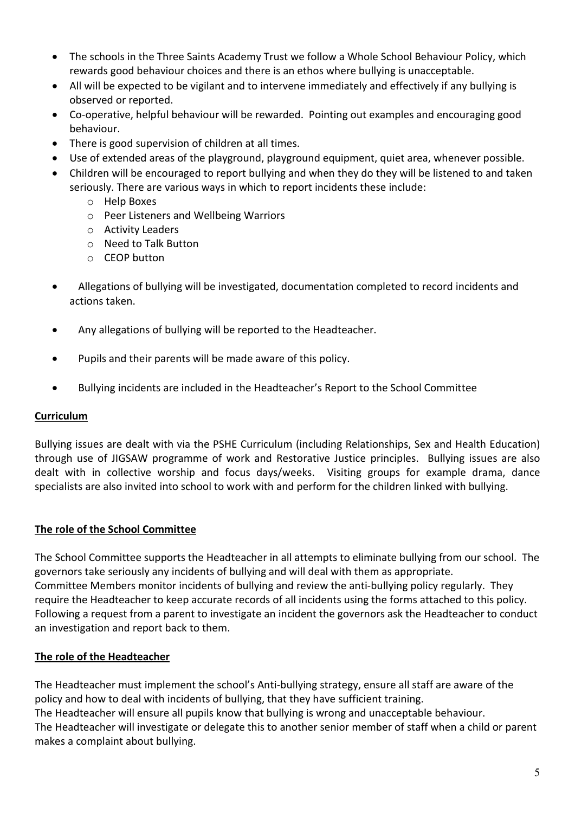- The schools in the Three Saints Academy Trust we follow a Whole School Behaviour Policy, which rewards good behaviour choices and there is an ethos where bullying is unacceptable.
- All will be expected to be vigilant and to intervene immediately and effectively if any bullying is observed or reported.
- Co-operative, helpful behaviour will be rewarded. Pointing out examples and encouraging good behaviour.
- There is good supervision of children at all times.
- Use of extended areas of the playground, playground equipment, quiet area, whenever possible.
- Children will be encouraged to report bullying and when they do they will be listened to and taken seriously. There are various ways in which to report incidents these include:
	- o Help Boxes
	- o Peer Listeners and Wellbeing Warriors
	- o Activity Leaders
	- o Need to Talk Button
	- o CEOP button
- Allegations of bullying will be investigated, documentation completed to record incidents and actions taken.
- Any allegations of bullying will be reported to the Headteacher.
- Pupils and their parents will be made aware of this policy.
- Bullying incidents are included in the Headteacher's Report to the School Committee

#### **Curriculum**

Bullying issues are dealt with via the PSHE Curriculum (including Relationships, Sex and Health Education) through use of JIGSAW programme of work and Restorative Justice principles. Bullying issues are also dealt with in collective worship and focus days/weeks. Visiting groups for example drama, dance specialists are also invited into school to work with and perform for the children linked with bullying.

#### **The role of the School Committee**

The School Committee supports the Headteacher in all attempts to eliminate bullying from our school. The governors take seriously any incidents of bullying and will deal with them as appropriate. Committee Members monitor incidents of bullying and review the anti-bullying policy regularly. They require the Headteacher to keep accurate records of all incidents using the forms attached to this policy. Following a request from a parent to investigate an incident the governors ask the Headteacher to conduct an investigation and report back to them.

#### **The role of the Headteacher**

The Headteacher must implement the school's Anti-bullying strategy, ensure all staff are aware of the policy and how to deal with incidents of bullying, that they have sufficient training. The Headteacher will ensure all pupils know that bullying is wrong and unacceptable behaviour. The Headteacher will investigate or delegate this to another senior member of staff when a child or parent makes a complaint about bullying.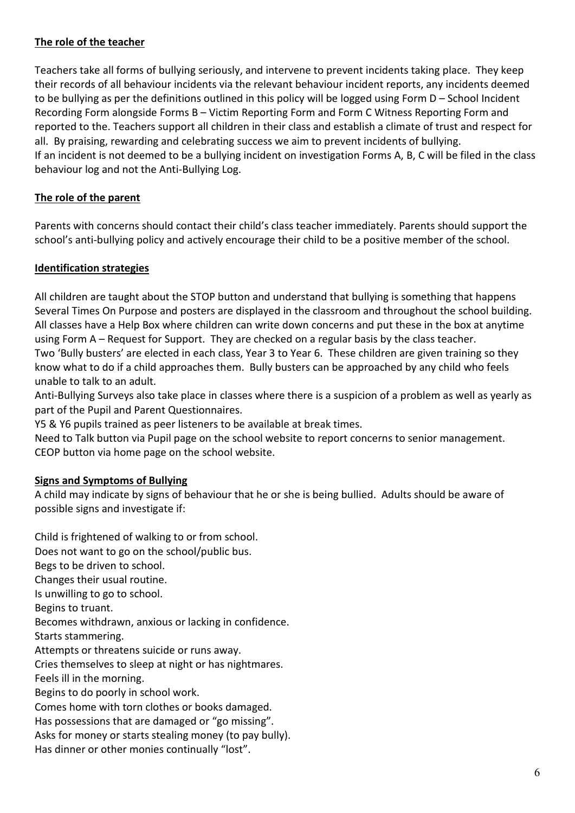# **The role of the teacher**

Teachers take all forms of bullying seriously, and intervene to prevent incidents taking place. They keep their records of all behaviour incidents via the relevant behaviour incident reports, any incidents deemed to be bullying as per the definitions outlined in this policy will be logged using Form D – School Incident Recording Form alongside Forms B – Victim Reporting Form and Form C Witness Reporting Form and reported to the. Teachers support all children in their class and establish a climate of trust and respect for all. By praising, rewarding and celebrating success we aim to prevent incidents of bullying. If an incident is not deemed to be a bullying incident on investigation Forms A, B, C will be filed in the class behaviour log and not the Anti-Bullying Log.

#### **The role of the parent**

Parents with concerns should contact their child's class teacher immediately. Parents should support the school's anti-bullying policy and actively encourage their child to be a positive member of the school.

#### **Identification strategies**

All children are taught about the STOP button and understand that bullying is something that happens Several Times On Purpose and posters are displayed in the classroom and throughout the school building. All classes have a Help Box where children can write down concerns and put these in the box at anytime using Form A – Request for Support. They are checked on a regular basis by the class teacher.

Two 'Bully busters' are elected in each class, Year 3 to Year 6. These children are given training so they know what to do if a child approaches them. Bully busters can be approached by any child who feels unable to talk to an adult.

Anti-Bullying Surveys also take place in classes where there is a suspicion of a problem as well as yearly as part of the Pupil and Parent Questionnaires.

Y5 & Y6 pupils trained as peer listeners to be available at break times.

Need to Talk button via Pupil page on the school website to report concerns to senior management. CEOP button via home page on the school website.

#### **Signs and Symptoms of Bullying**

A child may indicate by signs of behaviour that he or she is being bullied. Adults should be aware of possible signs and investigate if:

Child is frightened of walking to or from school. Does not want to go on the school/public bus. Begs to be driven to school. Changes their usual routine. Is unwilling to go to school. Begins to truant. Becomes withdrawn, anxious or lacking in confidence. Starts stammering. Attempts or threatens suicide or runs away. Cries themselves to sleep at night or has nightmares. Feels ill in the morning. Begins to do poorly in school work. Comes home with torn clothes or books damaged. Has possessions that are damaged or "go missing". Asks for money or starts stealing money (to pay bully). Has dinner or other monies continually "lost".